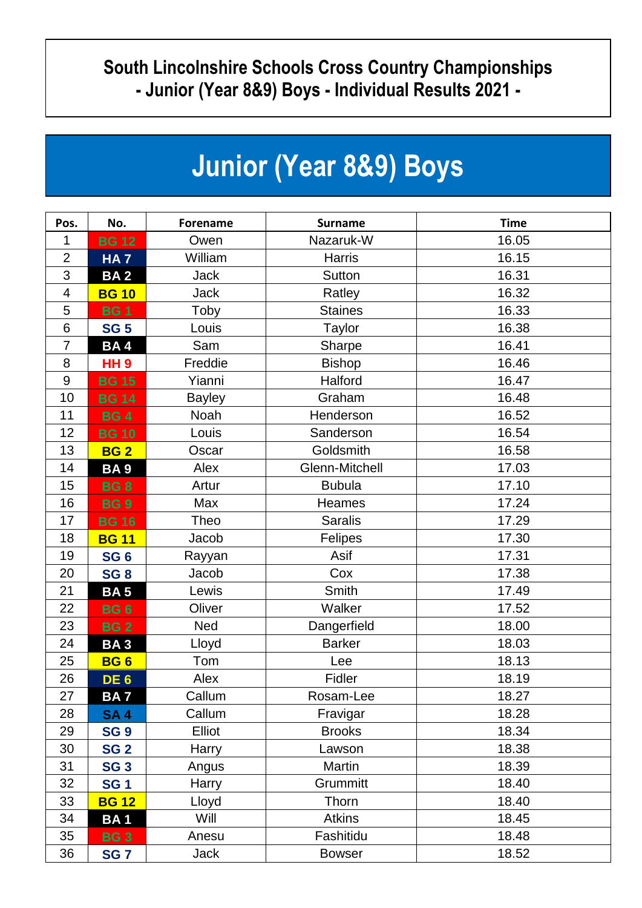## **South Lincolnshire Schools Cross Country Championships - Junior (Year 8&9) Boys - Individual Results 2021 -**

| <b>Junior (Year 8&amp;9) Boys</b> |  |  |  |
|-----------------------------------|--|--|--|
|-----------------------------------|--|--|--|

| Pos.             | No.             | <b>Forename</b> | <b>Surname</b> | <b>Time</b> |
|------------------|-----------------|-----------------|----------------|-------------|
| 1                | <b>BG 12</b>    | Owen            | Nazaruk-W      | 16.05       |
| $\overline{2}$   | <b>HA7</b>      | William         | Harris         | 16.15       |
| 3                | <b>BA2</b>      | <b>Jack</b>     | Sutton         | 16.31       |
| $\overline{4}$   | <b>BG 10</b>    | <b>Jack</b>     | Ratley         | 16.32       |
| 5                | <b>BG1</b>      | Toby            | <b>Staines</b> | 16.33       |
| 6                | <b>SG 5</b>     | Louis           | <b>Taylor</b>  | 16.38       |
| $\overline{7}$   | <b>BA4</b>      | Sam             | Sharpe         | 16.41       |
| 8                | <b>HH9</b>      | Freddie         | <b>Bishop</b>  | 16.46       |
| $\boldsymbol{9}$ | <b>BG 15</b>    | Yianni          | Halford        | 16.47       |
| 10               | <b>BG 14</b>    | <b>Bayley</b>   | Graham         | 16.48       |
| 11               | <b>BG4</b>      | Noah            | Henderson      | 16.52       |
| 12               | <b>BG 10</b>    | Louis           | Sanderson      | 16.54       |
| 13               | <b>BG2</b>      | Oscar           | Goldsmith      | 16.58       |
| 14               | <b>BA9</b>      | Alex            | Glenn-Mitchell | 17.03       |
| 15               | <b>BG8</b>      | Artur           | <b>Bubula</b>  | 17.10       |
| 16               | <b>BG9</b>      | Max             | Heames         | 17.24       |
| 17               | <b>BG 16</b>    | Theo            | <b>Saralis</b> | 17.29       |
| 18               | <b>BG 11</b>    | Jacob           | Felipes        | 17.30       |
| 19               | SG <sub>6</sub> | Rayyan          | Asif           | 17.31       |
| 20               | SG <sub>8</sub> | Jacob           | Cox            | 17.38       |
| 21               | <b>BA5</b>      | Lewis           | Smith          | 17.49       |
| 22               | <b>BG6</b>      | Oliver          | Walker         | 17.52       |
| 23               | <b>BG2</b>      | Ned             | Dangerfield    | 18.00       |
| 24               | <b>BA3</b>      | Lloyd           | <b>Barker</b>  | 18.03       |
| 25               | BG <sub>6</sub> | Tom             | Lee            | 18.13       |
| 26               | DE <sub>6</sub> | Alex            | Fidler         | 18.19       |
| 27               | BA 7            | Callum          | Rosam-Lee      | 18.27       |
| 28               | <b>SA4</b>      | Callum          | Fravigar       | 18.28       |
| 29               | <b>SG 9</b>     | Elliot          | <b>Brooks</b>  | 18.34       |
| 30               | <b>SG 2</b>     | Harry           | Lawson         | 18.38       |
| 31               | <b>SG 3</b>     | Angus           | Martin         | 18.39       |
| 32               | <b>SG1</b>      | Harry           | Grummitt       | 18.40       |
| 33               | <b>BG 12</b>    | Lloyd           | Thorn          | 18.40       |
| 34               | <b>BA1</b>      | Will            | <b>Atkins</b>  | 18.45       |
| 35               | <b>BG3</b>      | Anesu           | Fashitidu      | 18.48       |
| 36               | <b>SG7</b>      | Jack            | <b>Bowser</b>  | 18.52       |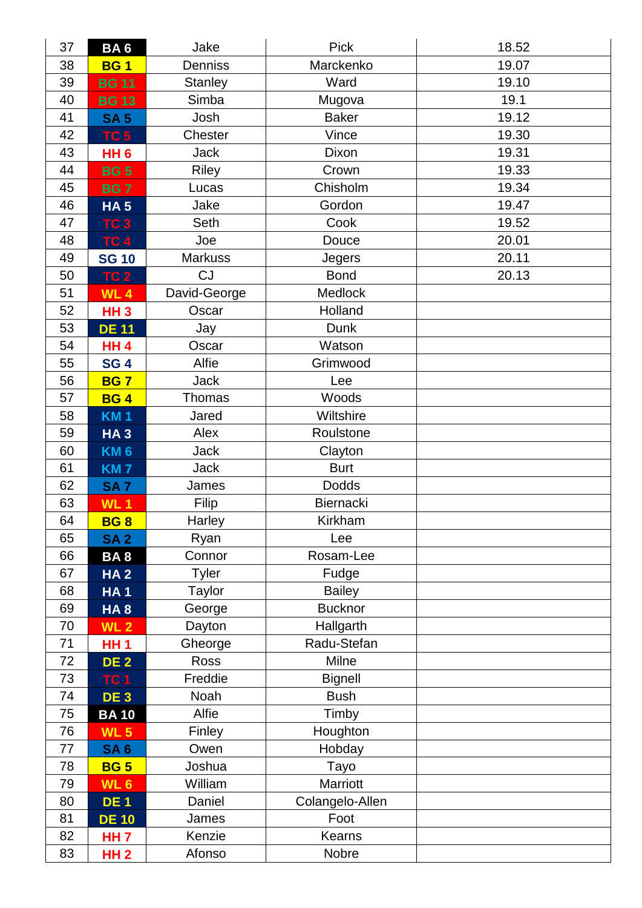| 37 | <b>BA6</b>      | Jake           | <b>Pick</b>     | 18.52 |
|----|-----------------|----------------|-----------------|-------|
| 38 | <b>BG1</b>      | Denniss        | Marckenko       | 19.07 |
| 39 | <b>BG 11</b>    | <b>Stanley</b> | Ward            | 19.10 |
| 40 | <b>BG 13</b>    | Simba          | Mugova          | 19.1  |
| 41 | <b>SA 5</b>     | Josh           | <b>Baker</b>    | 19.12 |
| 42 | TC <sub>5</sub> | Chester        | Vince           | 19.30 |
| 43 | HH <sub>6</sub> | <b>Jack</b>    | Dixon           | 19.31 |
| 44 | <b>BG5</b>      | <b>Riley</b>   | Crown           | 19.33 |
| 45 | <b>BG7</b>      | Lucas          | Chisholm        | 19.34 |
| 46 | <b>HA5</b>      | Jake           | Gordon          | 19.47 |
| 47 | TC <sub>3</sub> | Seth           | Cook            | 19.52 |
| 48 | <b>TC 4</b>     | Joe            | Douce           | 20.01 |
| 49 | <b>SG 10</b>    | <b>Markuss</b> | Jegers          | 20.11 |
| 50 | <b>TC 2</b>     | <b>CJ</b>      | <b>Bond</b>     | 20.13 |
| 51 | <b>WL4</b>      | David-George   | <b>Medlock</b>  |       |
| 52 | <b>HH3</b>      | Oscar          | Holland         |       |
| 53 | <b>DE 11</b>    | Jay            | Dunk            |       |
| 54 | <b>HH4</b>      | Oscar          | Watson          |       |
| 55 | <b>SG4</b>      | Alfie          | Grimwood        |       |
| 56 | <b>BG7</b>      | <b>Jack</b>    | Lee             |       |
| 57 | <b>BG4</b>      | Thomas         | Woods           |       |
| 58 | <b>KM1</b>      | Jared          | Wiltshire       |       |
| 59 | <b>HA3</b>      | Alex           | Roulstone       |       |
| 60 | <b>KM6</b>      | <b>Jack</b>    | Clayton         |       |
| 61 | <b>KM7</b>      | <b>Jack</b>    | <b>Burt</b>     |       |
| 62 | <b>SA7</b>      | James          | Dodds           |       |
| 63 | <b>WL1</b>      | Filip          | Biernacki       |       |
| 64 | <b>BG8</b>      | Harley         | Kirkham         |       |
| 65 | <b>SA2</b>      | Ryan           | Lee             |       |
| 66 | <b>BA8</b>      | Connor         | Rosam-Lee       |       |
| 67 | <b>HA2</b>      | <b>Tyler</b>   | Fudge           |       |
| 68 | <b>HA1</b>      | Taylor         | <b>Bailey</b>   |       |
| 69 | HA <sub>8</sub> | George         | <b>Bucknor</b>  |       |
| 70 | WL <sub>2</sub> | Dayton         | Hallgarth       |       |
| 71 | <b>HH1</b>      | Gheorge        | Radu-Stefan     |       |
| 72 | <b>DE 2</b>     | Ross           | Milne           |       |
| 73 | <b>TC 1</b>     | Freddie        | <b>Bignell</b>  |       |
| 74 | DE <sub>3</sub> | Noah           | <b>Bush</b>     |       |
| 75 | <b>BA10</b>     | Alfie          | Timby           |       |
| 76 | <b>WL 5</b>     | Finley         | Houghton        |       |
| 77 | <b>SA6</b>      | Owen           | Hobday          |       |
| 78 | <b>BG 5</b>     | Joshua         | Tayo            |       |
| 79 | WL <sub>6</sub> | William        | Marriott        |       |
| 80 | <b>DE1</b>      | Daniel         | Colangelo-Allen |       |
| 81 | <b>DE 10</b>    | James          | Foot            |       |
| 82 | <b>HH7</b>      | Kenzie         | Kearns          |       |
| 83 | <b>HH2</b>      | Afonso         | Nobre           |       |